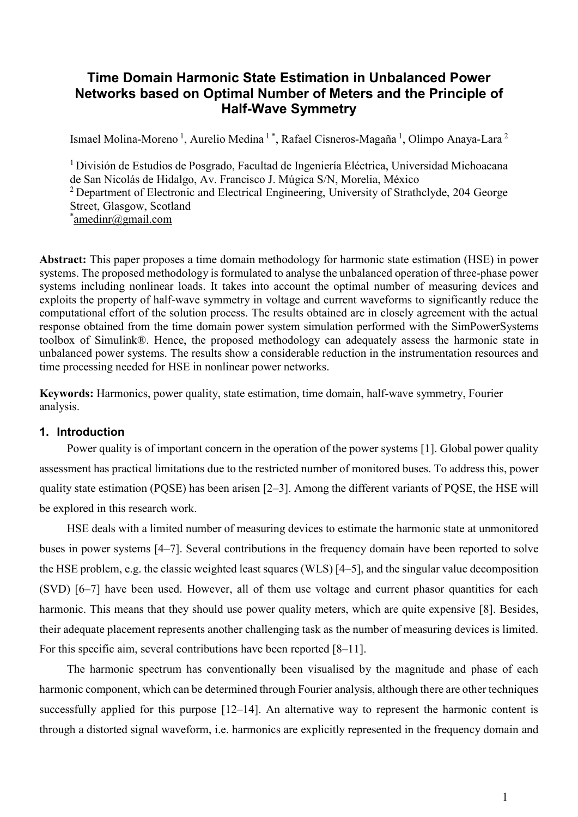# **Time Domain Harmonic State Estimation in Unbalanced Power Networks based on Optimal Number of Meters and the Principle of Half-Wave Symmetry**

Ismael Molina-Moreno<sup>1</sup>, Aurelio Medina<sup>1\*</sup>, Rafael Cisneros-Magaña<sup>1</sup>, Olimpo Anaya-Lara<sup>2</sup>

<sup>1</sup>División de Estudios de Posgrado, Facultad de Ingeniería Eléctrica, Universidad Michoacana de San Nicolás de Hidalgo, Av. Francisco J. Múgica S/N, Morelia, México <sup>2</sup> Department of Electronic and Electrical Engineering, University of Strathclyde, 204 George Street, Glasgow, Scotland \*[amedinr@gmail.com](mailto:amedinr@gmail.com)

**Abstract:** This paper proposes a time domain methodology for harmonic state estimation (HSE) in power systems. The proposed methodology is formulated to analyse the unbalanced operation of three-phase power systems including nonlinear loads. It takes into account the optimal number of measuring devices and exploits the property of half-wave symmetry in voltage and current waveforms to significantly reduce the computational effort of the solution process. The results obtained are in closely agreement with the actual response obtained from the time domain power system simulation performed with the SimPowerSystems toolbox of Simulink®. Hence, the proposed methodology can adequately assess the harmonic state in unbalanced power systems. The results show a considerable reduction in the instrumentation resources and time processing needed for HSE in nonlinear power networks.

**Keywords:** Harmonics, power quality, state estimation, time domain, half-wave symmetry, Fourier analysis.

## **1. Introduction**

Power quality is of important concern in the operation of the power systems [1]. Global power quality assessment has practical limitations due to the restricted number of monitored buses. To address this, power quality state estimation (PQSE) has been arisen [2–3]. Among the different variants of PQSE, the HSE will be explored in this research work.

HSE deals with a limited number of measuring devices to estimate the harmonic state at unmonitored buses in power systems [4–7]. Several contributions in the frequency domain have been reported to solve the HSE problem, e.g. the classic weighted least squares (WLS) [4–5], and the singular value decomposition (SVD) [6–7] have been used. However, all of them use voltage and current phasor quantities for each harmonic. This means that they should use power quality meters, which are quite expensive [8]. Besides, their adequate placement represents another challenging task as the number of measuring devices is limited. For this specific aim, several contributions have been reported [8–11].

The harmonic spectrum has conventionally been visualised by the magnitude and phase of each harmonic component, which can be determined through Fourier analysis, although there are other techniques successfully applied for this purpose [12–14]. An alternative way to represent the harmonic content is through a distorted signal waveform, i.e. harmonics are explicitly represented in the frequency domain and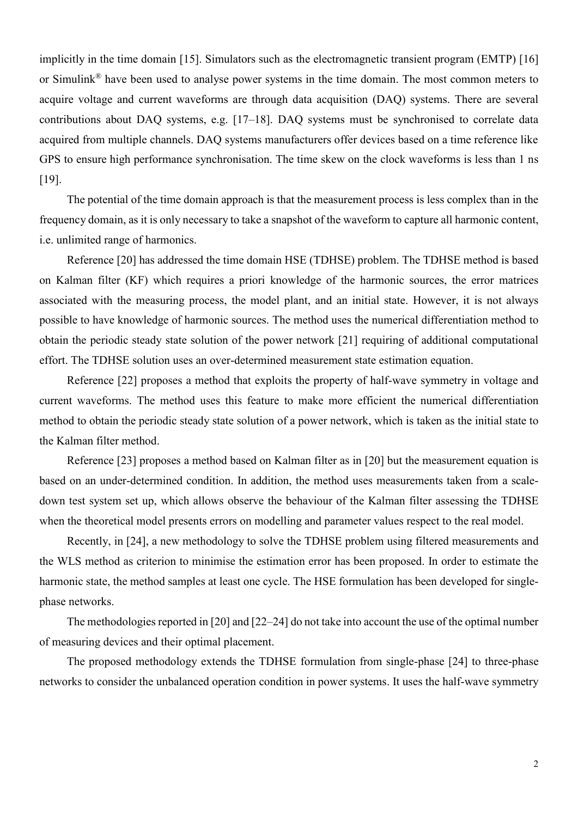implicitly in the time domain [15]. Simulators such as the electromagnetic transient program (EMTP) [16] or Simulink® have been used to analyse power systems in the time domain. The most common meters to acquire voltage and current waveforms are through data acquisition (DAQ) systems. There are several contributions about DAQ systems, e.g. [17–18]. DAQ systems must be synchronised to correlate data acquired from multiple channels. DAQ systems manufacturers offer devices based on a time reference like GPS to ensure high performance synchronisation. The time skew on the clock waveforms is less than 1 ns [19].

The potential of the time domain approach is that the measurement process is less complex than in the frequency domain, as it is only necessary to take a snapshot of the waveform to capture all harmonic content, i.e. unlimited range of harmonics.

Reference [20] has addressed the time domain HSE (TDHSE) problem. The TDHSE method is based on Kalman filter (KF) which requires a priori knowledge of the harmonic sources, the error matrices associated with the measuring process, the model plant, and an initial state. However, it is not always possible to have knowledge of harmonic sources. The method uses the numerical differentiation method to obtain the periodic steady state solution of the power network [21] requiring of additional computational effort. The TDHSE solution uses an over-determined measurement state estimation equation.

Reference [22] proposes a method that exploits the property of half-wave symmetry in voltage and current waveforms. The method uses this feature to make more efficient the numerical differentiation method to obtain the periodic steady state solution of a power network, which is taken as the initial state to the Kalman filter method.

Reference [23] proposes a method based on Kalman filter as in [20] but the measurement equation is based on an under-determined condition. In addition, the method uses measurements taken from a scaledown test system set up, which allows observe the behaviour of the Kalman filter assessing the TDHSE when the theoretical model presents errors on modelling and parameter values respect to the real model.

Recently, in [24], a new methodology to solve the TDHSE problem using filtered measurements and the WLS method as criterion to minimise the estimation error has been proposed. In order to estimate the harmonic state, the method samples at least one cycle. The HSE formulation has been developed for singlephase networks.

The methodologies reported in [20] and [22–24] do not take into account the use of the optimal number of measuring devices and their optimal placement.

The proposed methodology extends the TDHSE formulation from single-phase [24] to three-phase networks to consider the unbalanced operation condition in power systems. It uses the half-wave symmetry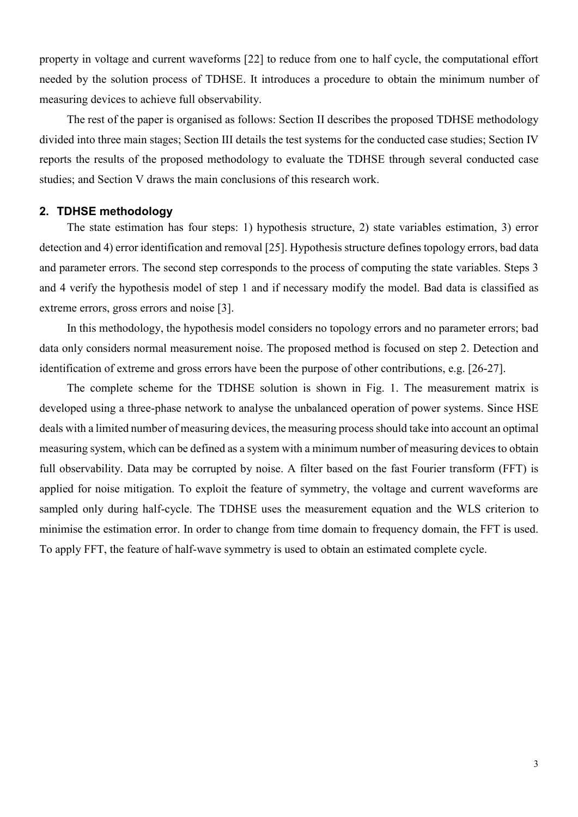property in voltage and current waveforms [22] to reduce from one to half cycle, the computational effort needed by the solution process of TDHSE. It introduces a procedure to obtain the minimum number of measuring devices to achieve full observability.

The rest of the paper is organised as follows: Section II describes the proposed TDHSE methodology divided into three main stages; Section III details the test systems for the conducted case studies; Section IV reports the results of the proposed methodology to evaluate the TDHSE through several conducted case studies; and Section V draws the main conclusions of this research work.

## **2. TDHSE methodology**

The state estimation has four steps: 1) hypothesis structure, 2) state variables estimation, 3) error detection and 4) error identification and removal [25]. Hypothesis structure defines topology errors, bad data and parameter errors. The second step corresponds to the process of computing the state variables. Steps 3 and 4 verify the hypothesis model of step 1 and if necessary modify the model. Bad data is classified as extreme errors, gross errors and noise [3].

In this methodology, the hypothesis model considers no topology errors and no parameter errors; bad data only considers normal measurement noise. The proposed method is focused on step 2. Detection and identification of extreme and gross errors have been the purpose of other contributions, e.g. [26-27].

The complete scheme for the TDHSE solution is shown in Fig. 1. The measurement matrix is developed using a three-phase network to analyse the unbalanced operation of power systems. Since HSE deals with a limited number of measuring devices, the measuring process should take into account an optimal measuring system, which can be defined as a system with a minimum number of measuring devices to obtain full observability. Data may be corrupted by noise. A filter based on the fast Fourier transform (FFT) is applied for noise mitigation. To exploit the feature of symmetry, the voltage and current waveforms are sampled only during half-cycle. The TDHSE uses the measurement equation and the WLS criterion to minimise the estimation error. In order to change from time domain to frequency domain, the FFT is used. To apply FFT, the feature of half-wave symmetry is used to obtain an estimated complete cycle.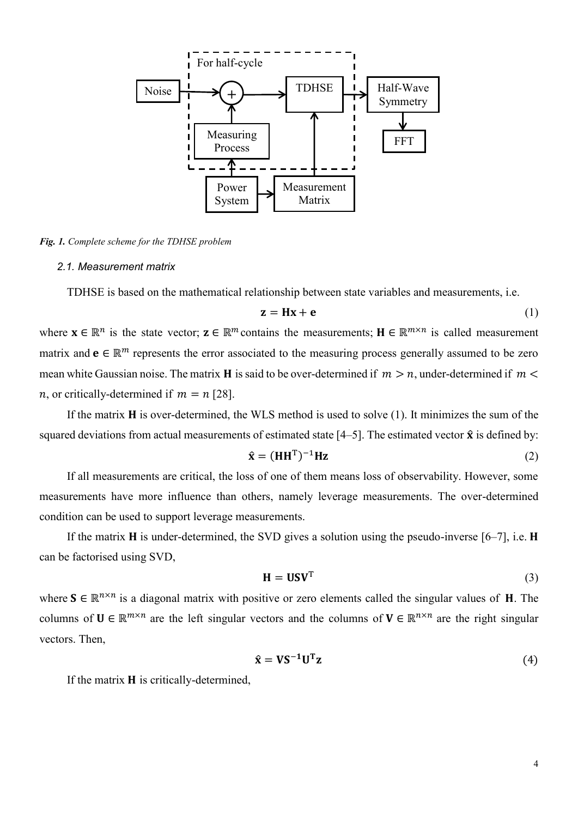

*Fig. 1. Complete scheme for the TDHSE problem*

#### *2.1. Measurement matrix*

TDHSE is based on the mathematical relationship between state variables and measurements, i.e.

$$
z = Hx + e \tag{1}
$$

where  $\mathbf{x} \in \mathbb{R}^n$  is the state vector;  $\mathbf{z} \in \mathbb{R}^m$  contains the measurements;  $\mathbf{H} \in \mathbb{R}^{m \times n}$  is called measurement matrix and  $\mathbf{e} \in \mathbb{R}^m$  represents the error associated to the measuring process generally assumed to be zero mean white Gaussian noise. The matrix **H** is said to be over-determined if  $m > n$ , under-determined if  $m <$ *n*, or critically-determined if  $m = n$  [28].

If the matrix  $H$  is over-determined, the WLS method is used to solve  $(1)$ . It minimizes the sum of the squared deviations from actual measurements of estimated state  $[4–5]$ . The estimated vector  $\hat{\mathbf{x}}$  is defined by:

$$
\hat{\mathbf{x}} = (\mathbf{H}\mathbf{H}^{\mathrm{T}})^{-1}\mathbf{H}\mathbf{z}
$$
 (2)

If all measurements are critical, the loss of one of them means loss of observability. However, some measurements have more influence than others, namely leverage measurements. The over-determined condition can be used to support leverage measurements.

If the matrix **H** is under-determined, the SVD gives a solution using the pseudo-inverse  $[6-7]$ , i.e. **H** can be factorised using SVD,

$$
\mathbf{H} = \mathbf{U}\mathbf{S}\mathbf{V}^{\mathrm{T}} \tag{3}
$$

where  $S \in \mathbb{R}^{n \times n}$  is a diagonal matrix with positive or zero elements called the singular values of **H**. The columns of  $U \in \mathbb{R}^{m \times n}$  are the left singular vectors and the columns of  $V \in \mathbb{R}^{n \times n}$  are the right singular vectors. Then,

$$
\hat{\mathbf{x}} = \mathbf{V}\mathbf{S}^{-1}\mathbf{U}^{\mathrm{T}}\mathbf{z}
$$
 (4)

If the matrix  $H$  is critically-determined,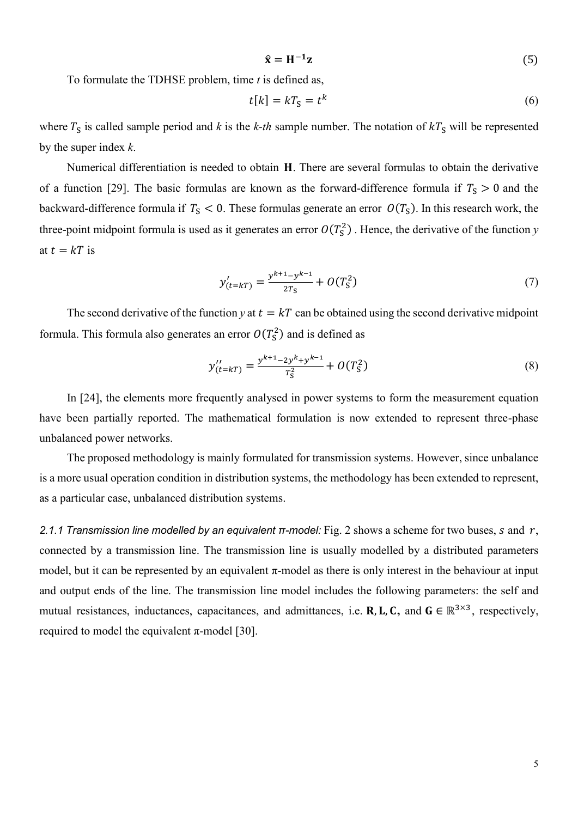$$
\hat{\mathbf{x}} = \mathbf{H}^{-1} \mathbf{z} \tag{5}
$$

To formulate the TDHSE problem, time *t* is defined as,

$$
t[k] = kTS = tk
$$
 (6)

where  $T_S$  is called sample period and *k* is the *k-th* sample number. The notation of  $kT_S$  will be represented by the super index *k*.

Numerical differentiation is needed to obtain H. There are several formulas to obtain the derivative of a function [29]. The basic formulas are known as the forward-difference formula if  $T_s > 0$  and the backward-difference formula if  $T_S < 0$ . These formulas generate an error  $O(T_S)$ . In this research work, the three-point midpoint formula is used as it generates an error  $O(T_S^2)$ . Hence, the derivative of the function *y* at  $t = kT$  is

$$
y'_{(t=kT)} = \frac{y^{k+1} - y^{k-1}}{2T_s} + O(T_s^2)
$$
\n(7)

The second derivative of the function *y* at  $t = kT$  can be obtained using the second derivative midpoint formula. This formula also generates an error  $O(T_S^2)$  and is defined as

$$
y''_{(t=kT)} = \frac{y^{k+1} - 2y^k + y^{k-1}}{T_5^2} + O(T_5^2)
$$
\n(8)

In [24], the elements more frequently analysed in power systems to form the measurement equation have been partially reported. The mathematical formulation is now extended to represent three-phase unbalanced power networks.

The proposed methodology is mainly formulated for transmission systems. However, since unbalance is a more usual operation condition in distribution systems, the methodology has been extended to represent, as a particular case, unbalanced distribution systems.

*2.1.1 Transmission line modelled by an equivalent π-model:* Fig. 2 shows a scheme for two buses, *s* and r, connected by a transmission line. The transmission line is usually modelled by a distributed parameters model, but it can be represented by an equivalent  $\pi$ -model as there is only interest in the behaviour at input and output ends of the line. The transmission line model includes the following parameters: the self and mutual resistances, inductances, capacitances, and admittances, i.e. **R**, **L**, **C**, and  $G \in \mathbb{R}^{3 \times 3}$ , respectively, required to model the equivalent  $π$ -model [30].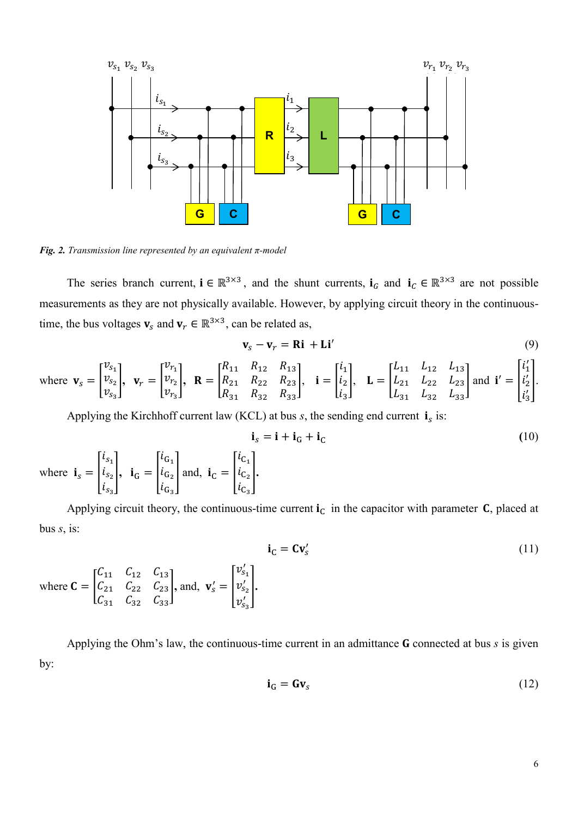

*Fig. 2. Transmission line represented by an equivalent π-model*

where  $C = |$ 

The series branch current,  $\mathbf{i} \in \mathbb{R}^{3 \times 3}$ , and the shunt currents,  $\mathbf{i}_G$  and  $\mathbf{i}_C \in \mathbb{R}^{3 \times 3}$  are not possible measurements as they are not physically available. However, by applying circuit theory in the continuoustime, the bus voltages  $\mathbf{v}_s$  and  $\mathbf{v}_r \in \mathbb{R}^{3 \times 3}$ , can be related as,

$$
\mathbf{v}_s - \mathbf{v}_r = \mathbf{Ri} + \mathbf{Li}' \tag{9}
$$

where 
$$
\mathbf{v}_s = \begin{bmatrix} v_{s_1} \\ v_{s_2} \\ v_{s_3} \end{bmatrix}
$$
,  $\mathbf{v}_r = \begin{bmatrix} v_{r_1} \\ v_{r_2} \\ v_{r_3} \end{bmatrix}$ ,  $\mathbf{R} = \begin{bmatrix} R_{11} & R_{12} & R_{13} \\ R_{21} & R_{22} & R_{23} \\ R_{31} & R_{32} & R_{33} \end{bmatrix}$ ,  $\mathbf{i} = \begin{bmatrix} i_1 \\ i_2 \\ i_3 \end{bmatrix}$ ,  $\mathbf{L} = \begin{bmatrix} L_{11} & L_{12} & L_{13} \\ L_{21} & L_{22} & L_{23} \\ L_{31} & L_{32} & L_{33} \end{bmatrix}$  and  $\mathbf{i}' = \begin{bmatrix} i'_1 \\ i'_2 \\ i'_3 \end{bmatrix}$ .

Applying the Kirchhoff current law (KCL) at bus  $s$ , the sending end current  $\mathbf{i}_s$  is:

$$
\mathbf{i}_{s} = \mathbf{i} + \mathbf{i}_{G} + \mathbf{i}_{C}
$$
\nwhere  $\mathbf{i}_{s} = \begin{bmatrix} i_{s_1} \\ i_{s_2} \\ i_{s_3} \end{bmatrix}$ ,  $\mathbf{i}_{G} = \begin{bmatrix} i_{G_1} \\ i_{G_2} \\ i_{G_3} \end{bmatrix}$  and,  $\mathbf{i}_{C} = \begin{bmatrix} i_{C_1} \\ i_{C_2} \\ i_{C_3} \end{bmatrix}$ . (10)

Applying circuit theory, the continuous-time current  $i<sub>C</sub>$  in the capacitor with parameter C, placed at bus *s*, is:

$$
i_{C} = Cv'_{s}
$$
  
\n $C_{11}$   $C_{12}$   $C_{13}$   
\n $C_{21}$   $C_{22}$   $C_{23}$   
\n $C_{31}$   $C_{32}$   $C_{33}$   
\nand,  $v'_{s} = \begin{bmatrix} v'_{s_1} \\ v'_{s_2} \\ v'_{s_3} \end{bmatrix}$ . (11)

Applying the Ohm's law, the continuous-time current in an admittance  **connected at bus**  $s$  **is given** by:

$$
\mathbf{i}_{\mathbf{G}} = \mathbf{G} \mathbf{v}_{s} \tag{12}
$$

 $\overline{\mathcal{L}}$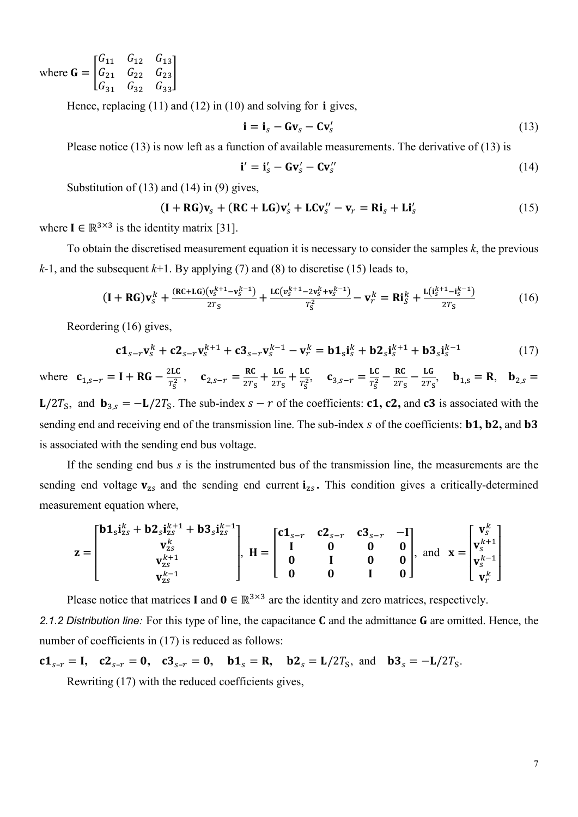where  $G = |$  $G_{11}$   $G_{12}$   $G_{13}$  $G_{21}$   $G_{22}$   $G_{23}$  $G_{31}$   $G_{32}$   $G_{33}$ ]

Hence, replacing  $(11)$  and  $(12)$  in  $(10)$  and solving for **i** gives,

$$
\mathbf{i} = \mathbf{i}_s - \mathbf{G}\mathbf{v}_s - \mathbf{C}\mathbf{v}'_s \tag{13}
$$

Please notice (13) is now left as a function of available measurements. The derivative of (13) is

$$
\mathbf{i}' = \mathbf{i}'_s - \mathbf{G}\mathbf{v}'_s - \mathbf{C}\mathbf{v}''_s \tag{14}
$$

Substitution of  $(13)$  and  $(14)$  in  $(9)$  gives,

$$
(\mathbf{I} + \mathbf{R}\mathbf{G})\mathbf{v}_s + (\mathbf{R}\mathbf{C} + \mathbf{L}\mathbf{G})\mathbf{v}_s' + \mathbf{L}\mathbf{C}\mathbf{v}_s'' - \mathbf{v}_r = \mathbf{R}\mathbf{i}_s + \mathbf{L}\mathbf{i}_s' \tag{15}
$$

where  $I \in \mathbb{R}^{3 \times 3}$  is the identity matrix [31].

To obtain the discretised measurement equation it is necessary to consider the samples *k*, the previous *k*-1, and the subsequent *k*+1. By applying (7) and (8) to discretise (15) leads to,

$$
(\mathbf{I} + \mathbf{R}\mathbf{G})\mathbf{v}_{S}^{k} + \frac{(\mathbf{R}\mathbf{C} + \mathbf{L}\mathbf{G})(\mathbf{v}_{S}^{k+1} - \mathbf{v}_{S}^{k-1})}{2T_{S}} + \frac{\mathbf{L}\mathbf{C}(\mathbf{v}_{S}^{k+1} - 2\mathbf{v}_{S}^{k} + \mathbf{v}_{S}^{k-1})}{T_{S}^{2}} - \mathbf{v}_{r}^{k} = \mathbf{R}\mathbf{i}_{S}^{k} + \frac{\mathbf{L}(\mathbf{i}_{S}^{k+1} - \mathbf{i}_{S}^{k-1})}{2T_{S}}
$$
(16)

Reordering (16) gives,

$$
c1_{s-r}v_s^k + c2_{s-r}v_s^{k+1} + c3_{s-r}v_s^{k-1} - v_r^k = b1_s i_s^k + b2_s i_s^{k+1} + b3_s i_s^{k-1}
$$
 (17)

where  $\mathbf{c}_{1,s-r} = \mathbf{I} + \mathbf{R}\mathbf{G} - \frac{2\mathbf{L}\mathbf{C}}{r^2}$  $\frac{2LC}{T_S^2}$ ,  $\mathbf{c}_{2,s-r} = \frac{RC}{2T_S}$  $rac{\text{RC}}{2T_S} + \frac{\text{LG}}{2T_S}$  $rac{\text{LG}}{2T_S} + \frac{\text{LC}}{T_S^2}$  $rac{LC}{T_S^2}$ ,  $c_{3,s-r} = \frac{LC}{T_S^2}$  $\frac{LC}{T_S^2} - \frac{RC}{2T_S}$  $\frac{RC}{2T_S} - \frac{LG}{2T_S}$  $\frac{Ld}{2T_S}$ ,  $\mathbf{b}_{1,S} = \mathbf{R}$ ,  $\mathbf{b}_{2,S} =$  $L/2T_s$ , and  $\mathbf{b}_{3,s} = -L/2T_s$ . The sub-index  $s - r$  of the coefficients: **c1, c2,** and **c3** is associated with the

sending end and receiving end of the transmission line. The sub-index s of the coefficients: **b1**, **b2**, and **b3** is associated with the sending end bus voltage.

If the sending end bus *s* is the instrumented bus of the transmission line, the measurements are the sending end voltage  $v_{zs}$  and the sending end current  $i_{zs}$ . This condition gives a critically-determined measurement equation where,

$$
z = \begin{bmatrix} b1_s i_{zs}^k + b2_s i_{zs}^{k+1} + b3_s i_{zs}^{k-1} \\ v_{zs}^k \\ v_{zs}^{k+1} \\ v_{zs}^{k-1} \end{bmatrix}, H = \begin{bmatrix} c1_{s-r} & c2_{s-r} & c3_{s-r} & -I \\ I & 0 & 0 & 0 \\ 0 & I & 0 & 0 \\ 0 & 0 & I & 0 \end{bmatrix}, \text{ and } x = \begin{bmatrix} v_s^k \\ v_s^{k+1} \\ v_s^{k-1} \\ v_r^k \end{bmatrix}
$$

Please notice that matrices **I** and  $\mathbf{0} \in \mathbb{R}^{3 \times 3}$  are the identity and zero matrices, respectively. 2.1.2 Distribution line: For this type of line, the capacitance **C** and the admittance **G** are omitted. Hence, the number of coefficients in (17) is reduced as follows:

 $c1_{s-r} = I$ ,  $c2_{s-r} = 0$ ,  $c3_{s-r} = 0$ ,  $b1_s = R$ ,  $b2_s = L/2T_s$ , and  $b3_s = -L/2T_s$ . Rewriting (17) with the reduced coefficients gives,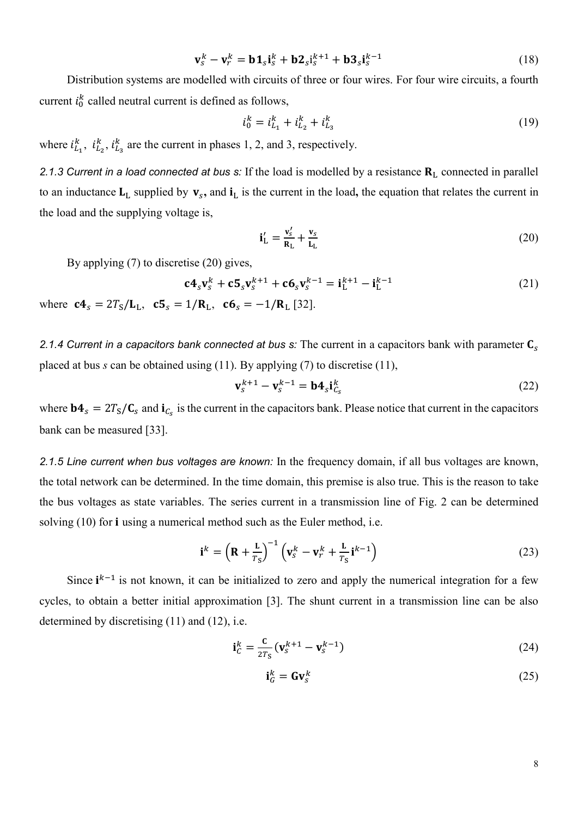$$
\mathbf{v}_s^k - \mathbf{v}_r^k = \mathbf{b} \mathbf{1}_s \mathbf{i}_s^k + \mathbf{b} \mathbf{2}_s \mathbf{i}_s^{k+1} + \mathbf{b} \mathbf{3}_s \mathbf{i}_s^{k-1}
$$
(18)

Distribution systems are modelled with circuits of three or four wires. For four wire circuits, a fourth current  $i_0^k$  called neutral current is defined as follows,

$$
i_0^k = i_{L_1}^k + i_{L_2}^k + i_{L_3}^k \tag{19}
$$

where  $i_{L_1}^k$ ,  $i_{L_2}^k$ ,  $i_{L_3}^k$  are the current in phases 1, 2, and 3, respectively.

2.1.3 *Current in a load connected at bus s:* If the load is modelled by a resistance  $R_L$  connected in parallel to an inductance  $L_L$  supplied by  $v_s$ , and  $i_L$  is the current in the load, the equation that relates the current in the load and the supplying voltage is,

$$
\mathbf{i}'_{\mathrm{L}} = \frac{\mathbf{v}'_{\mathrm{s}}}{\mathbf{R}_{\mathrm{L}}} + \frac{\mathbf{v}_{\mathrm{s}}}{\mathbf{L}_{\mathrm{L}}} \tag{20}
$$

By applying (7) to discretise (20) gives,

$$
\mathbf{c} \mathbf{4}_s \mathbf{v}_s^k + \mathbf{c} \mathbf{5}_s \mathbf{v}_s^{k+1} + \mathbf{c} \mathbf{6}_s \mathbf{v}_s^{k-1} = \mathbf{i}_L^{k+1} - \mathbf{i}_L^{k-1}
$$
 (21)

where  $c_1 = 2T_S/L_L$ ,  $c_2 = 1/R_L$ ,  $c_3 = -1/R_L$  [32].

*2.1.4 Current in a capacitors bank connected at bus s:* The current in a capacitors bank with parameter placed at bus *s* can be obtained using (11). By applying (7) to discretise (11),

$$
\mathbf{v}_s^{k+1} - \mathbf{v}_s^{k-1} = \mathbf{b} \mathbf{4}_s \mathbf{i}_{C_s}^k
$$
 (22)

where  $bA_s = 2T_s/C_s$  and  $i_{C_s}$  is the current in the capacitors bank. Please notice that current in the capacitors bank can be measured [33].

*2.1.5 Line current when bus voltages are known:* In the frequency domain, if all bus voltages are known, the total network can be determined. In the time domain, this premise is also true. This is the reason to take the bus voltages as state variables. The series current in a transmission line of Fig. 2 can be determined solving  $(10)$  for **i** using a numerical method such as the Euler method, i.e.

$$
\mathbf{i}^{k} = \left(\mathbf{R} + \frac{\mathbf{L}}{T_{\mathrm{S}}}\right)^{-1} \left(\mathbf{v}_{\mathrm{S}}^{k} - \mathbf{v}_{r}^{k} + \frac{\mathbf{L}}{T_{\mathrm{S}}} \mathbf{i}^{k-1}\right)
$$
(23)

Since  $i^{k-1}$  is not known, it can be initialized to zero and apply the numerical integration for a few cycles, to obtain a better initial approximation [3]. The shunt current in a transmission line can be also determined by discretising (11) and (12), i.e.

$$
\mathbf{i}_C^k = \frac{\mathbf{c}}{2T_s} (\mathbf{v}_S^{k+1} - \mathbf{v}_S^{k-1})
$$
 (24)

$$
\mathbf{i}_G^k = \mathbf{G} \mathbf{v}_S^k \tag{25}
$$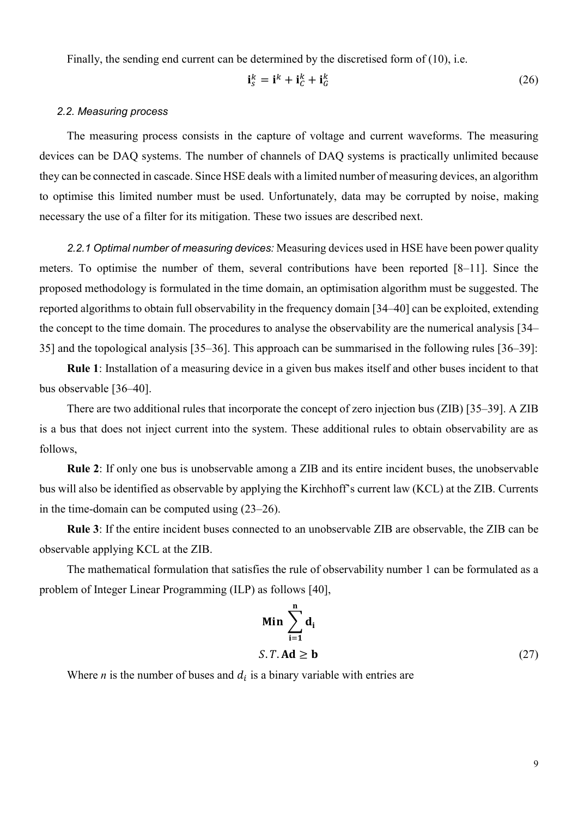Finally, the sending end current can be determined by the discretised form of (10), i.e.

$$
\mathbf{i}_{S}^{k} = \mathbf{i}^{k} + \mathbf{i}_{C}^{k} + \mathbf{i}_{G}^{k} \tag{26}
$$

#### *2.2. Measuring process*

The measuring process consists in the capture of voltage and current waveforms. The measuring devices can be DAQ systems. The number of channels of DAQ systems is practically unlimited because they can be connected in cascade. Since HSE deals with a limited number of measuring devices, an algorithm to optimise this limited number must be used. Unfortunately, data may be corrupted by noise, making necessary the use of a filter for its mitigation. These two issues are described next.

*2.2.1 Optimal number of measuring devices:* Measuring devices used in HSE have been power quality meters. To optimise the number of them, several contributions have been reported [8–11]. Since the proposed methodology is formulated in the time domain, an optimisation algorithm must be suggested. The reported algorithms to obtain full observability in the frequency domain [34–40] can be exploited, extending the concept to the time domain. The procedures to analyse the observability are the numerical analysis [34– 35] and the topological analysis [35–36]. This approach can be summarised in the following rules [36–39]:

**Rule 1**: Installation of a measuring device in a given bus makes itself and other buses incident to that bus observable [36–40].

There are two additional rules that incorporate the concept of zero injection bus (ZIB) [35–39]. A ZIB is a bus that does not inject current into the system. These additional rules to obtain observability are as follows,

**Rule 2**: If only one bus is unobservable among a ZIB and its entire incident buses, the unobservable bus will also be identified as observable by applying the Kirchhoff's current law (KCL) at the ZIB. Currents in the time-domain can be computed using (23–26).

**Rule 3**: If the entire incident buses connected to an unobservable ZIB are observable, the ZIB can be observable applying KCL at the ZIB.

The mathematical formulation that satisfies the rule of observability number 1 can be formulated as a problem of Integer Linear Programming (ILP) as follows [40],

$$
\begin{aligned} \mathbf{Min} & \sum_{i=1}^{n} \mathbf{d}_i \\ S. \, T. \, \mathbf{Ad} &\geq \mathbf{b} \end{aligned} \tag{27}
$$

Where *n* is the number of buses and  $d_i$  is a binary variable with entries are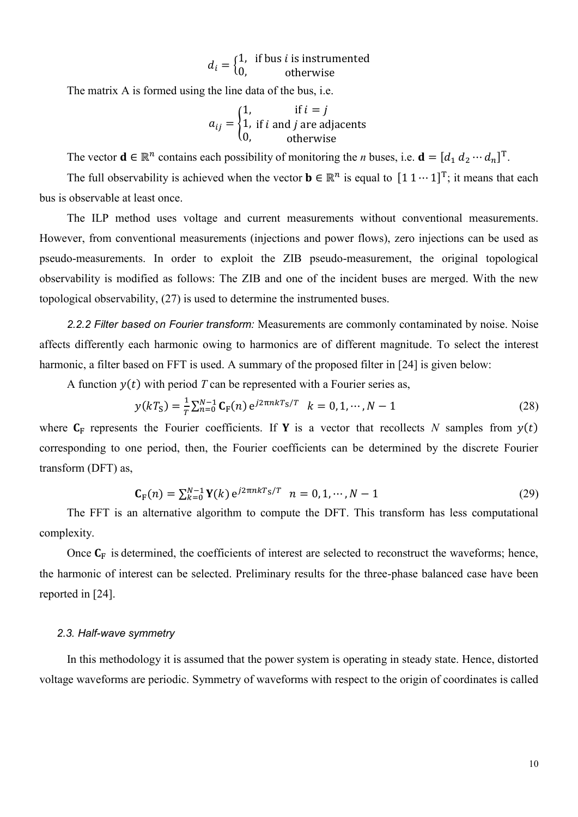$$
d_i = \begin{cases} 1, & \text{if bus } i \text{ is instrumented} \\ 0, & \text{otherwise} \end{cases}
$$

The matrix A is formed using the line data of the bus, i.e.

$$
a_{ij} = \begin{cases} 1, & \text{if } i = j \\ 1, & \text{if } i \text{ and } j \text{ are adjacents} \\ 0, & \text{otherwise} \end{cases}
$$

The vector  $\mathbf{d} \in \mathbb{R}^n$  contains each possibility of monitoring the *n* buses, i.e.  $\mathbf{d} = [d_1 d_2 \cdots d_n]^T$ .

The full observability is achieved when the vector  $\mathbf{b} \in \mathbb{R}^n$  is equal to  $[1 \ 1 \cdots 1]^T$ ; it means that each bus is observable at least once.

The ILP method uses voltage and current measurements without conventional measurements. However, from conventional measurements (injections and power flows), zero injections can be used as pseudo-measurements. In order to exploit the ZIB pseudo-measurement, the original topological observability is modified as follows: The ZIB and one of the incident buses are merged. With the new topological observability, (27) is used to determine the instrumented buses.

*2.2.2 Filter based on Fourier transform:* Measurements are commonly contaminated by noise. Noise affects differently each harmonic owing to harmonics are of different magnitude. To select the interest harmonic, a filter based on FFT is used. A summary of the proposed filter in [24] is given below:

A function  $y(t)$  with period *T* can be represented with a Fourier series as,

$$
y(kTS) = \frac{1}{T} \sum_{n=0}^{N-1} \mathbf{C}_{F}(n) e^{j2\pi nkT_{S}/T} \quad k = 0, 1, \cdots, N-1
$$
 (28)

where  $C_F$  represents the Fourier coefficients. If **Y** is a vector that recollects *N* samples from  $y(t)$ corresponding to one period, then, the Fourier coefficients can be determined by the discrete Fourier transform (DFT) as,

$$
\mathbf{C}_{\mathbf{F}}(n) = \sum_{k=0}^{N-1} \mathbf{Y}(k) e^{j2\pi nkT_{\mathbf{S}}/T} \quad n = 0, 1, \cdots, N-1
$$
 (29)

The FFT is an alternative algorithm to compute the DFT. This transform has less computational complexity.

Once  $C_F$  is determined, the coefficients of interest are selected to reconstruct the waveforms; hence, the harmonic of interest can be selected. Preliminary results for the three-phase balanced case have been reported in [24].

### *2.3. Half-wave symmetry*

In this methodology it is assumed that the power system is operating in steady state. Hence, distorted voltage waveforms are periodic. Symmetry of waveforms with respect to the origin of coordinates is called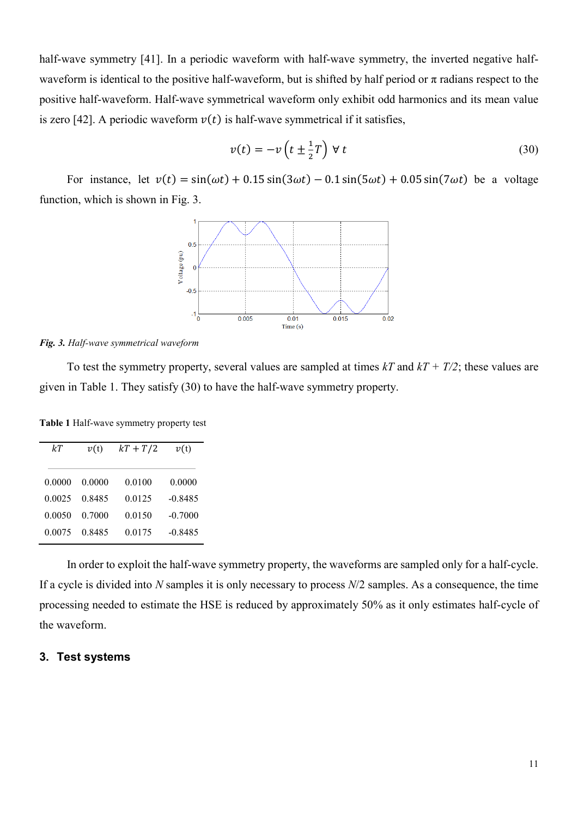half-wave symmetry [41]. In a periodic waveform with half-wave symmetry, the inverted negative halfwaveform is identical to the positive half-waveform, but is shifted by half period or  $\pi$  radians respect to the positive half-waveform. Half-wave symmetrical waveform only exhibit odd harmonics and its mean value is zero [42]. A periodic waveform  $v(t)$  is half-wave symmetrical if it satisfies,

$$
v(t) = -v\left(t \pm \frac{1}{2}T\right) \forall t
$$
\n(30)

For instance, let  $v(t) = sin(\omega t) + 0.15 sin(3\omega t) - 0.1 sin(5\omega t) + 0.05 sin(7\omega t)$  be a voltage function, which is shown in Fig. 3.



#### *Fig. 3. Half-wave symmetrical waveform*

To test the symmetry property, several values are sampled at times *kT* and *kT + T/2*; these values are given in Table 1. They satisfy (30) to have the half-wave symmetry property.

**Table 1** Half-wave symmetry property test

| kТ     | v(t)   | $kT + T/2$ | v(t)      |
|--------|--------|------------|-----------|
| 0.0000 | 0.0000 | 0.0100     | 0.0000    |
| 0.0025 | 0.8485 | 0.0125     | $-0.8485$ |
| 0.0050 | 0.7000 | 0.0150     | $-0.7000$ |
| 0.0075 | 0.8485 | 0.0175     | $-0.8485$ |

In order to exploit the half-wave symmetry property, the waveforms are sampled only for a half-cycle. If a cycle is divided into *N* samples it is only necessary to process *N*/2 samples. As a consequence, the time processing needed to estimate the HSE is reduced by approximately 50% as it only estimates half-cycle of the waveform.

## **3. Test systems**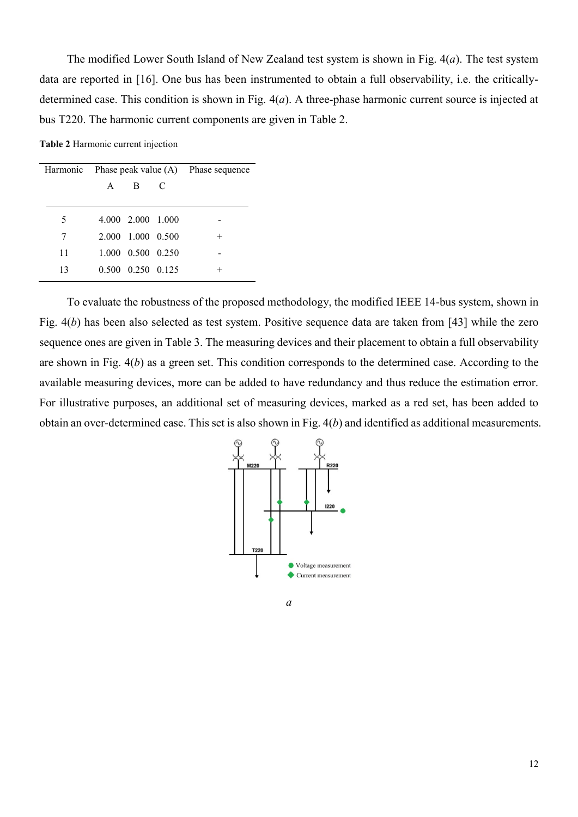The modified Lower South Island of New Zealand test system is shown in Fig. 4(*a*). The test system data are reported in [16]. One bus has been instrumented to obtain a full observability, i.e. the criticallydetermined case. This condition is shown in Fig. 4(*a*). A three-phase harmonic current source is injected at bus T220. The harmonic current components are given in Table 2.

**Table 2** Harmonic current injection

| Harmonic | Phase peak value $(A)$ Phase sequence |                   |   |        |
|----------|---------------------------------------|-------------------|---|--------|
|          | $\mathsf{A}$                          | B                 | C |        |
|          |                                       |                   |   |        |
| 5        |                                       | 4.000 2.000 1.000 |   |        |
| 7        |                                       | 2.000 1.000 0.500 |   | $^{+}$ |
| 11       |                                       | 1.000 0.500 0.250 |   |        |
| 13       |                                       | 0.500 0.250 0.125 |   |        |
|          |                                       |                   |   |        |

To evaluate the robustness of the proposed methodology, the modified IEEE 14-bus system, shown in Fig. 4(*b*) has been also selected as test system. Positive sequence data are taken from [43] while the zero sequence ones are given in Table 3. The measuring devices and their placement to obtain a full observability are shown in Fig. 4(*b*) as a green set. This condition corresponds to the determined case. According to the available measuring devices, more can be added to have redundancy and thus reduce the estimation error. For illustrative purposes, an additional set of measuring devices, marked as a red set, has been added to obtain an over-determined case. This set is also shown in Fig. 4(*b*) and identified as additional measurements.



*a*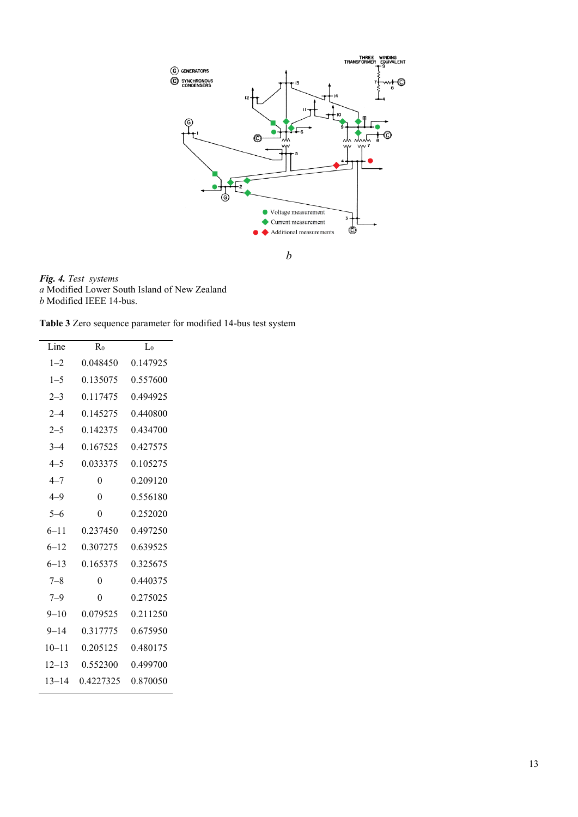

*Fig. 4. Test systems a* Modified Lower South Island of New Zealand *b* Modified IEEE 14-bus.

 $\overline{a}$ 

|  |  |  | Table 3 Zero sequence parameter for modified 14-bus test system |  |  |  |  |  |
|--|--|--|-----------------------------------------------------------------|--|--|--|--|--|
|--|--|--|-----------------------------------------------------------------|--|--|--|--|--|

| $\overline{\text{Line}}$ | $R_0$     | $L_0$    |
|--------------------------|-----------|----------|
| $1 - 2$                  | 0.048450  | 0.147925 |
| $1 - 5$                  | 0.135075  | 0.557600 |
| $2 - 3$                  | 0.117475  | 0.494925 |
| $2 - 4$                  | 0 145275  | 0.440800 |
| $2 - 5$                  | 0.142375  | 0.434700 |
| $3 - 4$                  | 0.167525  | 0.427575 |
| $4 - 5$                  | 0.033375  | 0.105275 |
| $4 - 7$                  | 0         | 0.209120 |
| 4–9                      | 0         | 0.556180 |
| $5 - 6$                  | 0         | 0.252020 |
| $6 - 11$                 | 0.237450  | 0.497250 |
| $6 - 12$                 | 0.307275  | 0.639525 |
| $6 - 13$                 | 0.165375  | 0.325675 |
| $7 - 8$                  | 0         | 0.440375 |
| $7 - 9$                  | 0         | 0.275025 |
| $9 - 10$                 | 0.079525  | 0 211250 |
| $9 - 14$                 | 0.317775  | 0.675950 |
| $10 - 11$                | 0.205125  | 0.480175 |
| $12 - 13$                | 0.552300  | 0.499700 |
| $13 - 14$                | 0.4227325 | 0.870050 |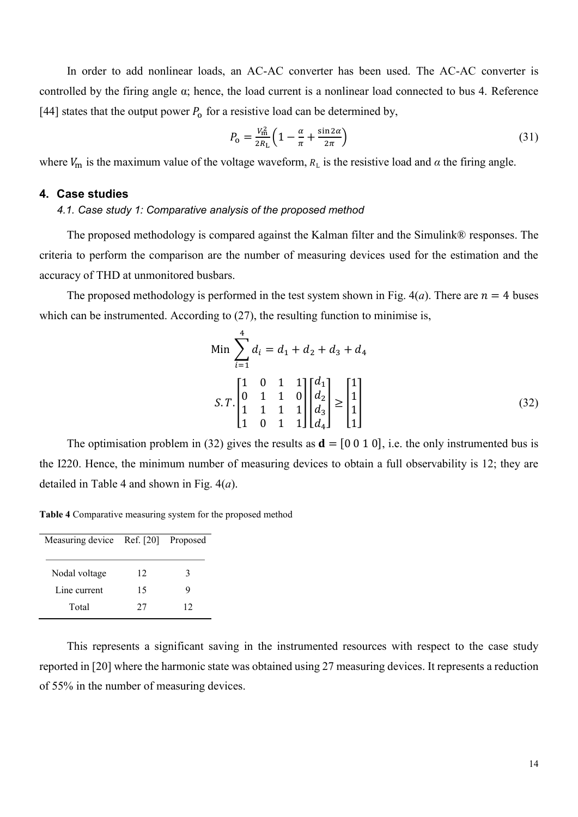In order to add nonlinear loads, an AC-AC converter has been used. The AC-AC converter is controlled by the firing angle α; hence, the load current is a nonlinear load connected to bus 4. Reference [44] states that the output power  $P_0$  for a resistive load can be determined by,

$$
P_0 = \frac{V_{\text{m}}^2}{2R_{\text{L}}} \left( 1 - \frac{\alpha}{\pi} + \frac{\sin 2\alpha}{2\pi} \right) \tag{31}
$$

where  $V_m$  is the maximum value of the voltage waveform,  $R_L$  is the resistive load and  $\alpha$  the firing angle.

## **4. Case studies**

#### *4.1. Case study 1: Comparative analysis of the proposed method*

The proposed methodology is compared against the Kalman filter and the Simulink® responses. The criteria to perform the comparison are the number of measuring devices used for the estimation and the accuracy of THD at unmonitored busbars.

The proposed methodology is performed in the test system shown in Fig.  $4(a)$ . There are  $n = 4$  buses which can be instrumented. According to  $(27)$ , the resulting function to minimise is,

Min 
$$
\sum_{i=1}^{4} d_i = d_1 + d_2 + d_3 + d_4
$$
  
\n
$$
S.T.\begin{bmatrix} 1 & 0 & 1 & 1 \\ 0 & 1 & 1 & 0 \\ 1 & 1 & 1 & 1 \\ 1 & 0 & 1 & 1 \end{bmatrix} \begin{bmatrix} d_1 \\ d_2 \\ d_3 \\ d_4 \end{bmatrix} \ge \begin{bmatrix} 1 \\ 1 \\ 1 \\ 1 \end{bmatrix}
$$
 (32)

The optimisation problem in (32) gives the results as  $\mathbf{d} = [0 \ 0 \ 1 \ 0]$ , i.e. the only instrumented bus is the I220. Hence, the minimum number of measuring devices to obtain a full observability is 12; they are detailed in Table 4 and shown in Fig. 4(*a*).

**Table 4** Comparative measuring system for the proposed method

| Measuring device Ref. [20] Proposed |    |    |  |
|-------------------------------------|----|----|--|
| Nodal voltage                       | 12 | 3  |  |
| Line current                        | 15 | Q  |  |
| Total                               | 27 | 12 |  |

This represents a significant saving in the instrumented resources with respect to the case study reported in [20] where the harmonic state was obtained using 27 measuring devices. It represents a reduction of 55% in the number of measuring devices.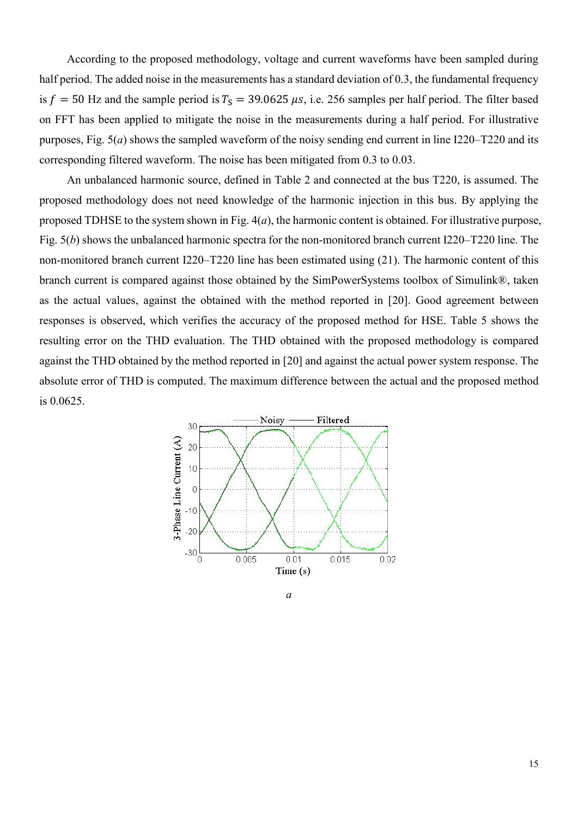According to the proposed methodology, voltage and current waveforms have been sampled during half period. The added noise in the measurements has a standard deviation of 0.3, the fundamental frequency is  $f = 50$  Hz and the sample period is  $T_s = 39.0625 \mu s$ , i.e. 256 samples per half period. The filter based on FFT has been applied to mitigate the noise in the measurements during a half period. For illustrative purposes, Fig. 5(*a*) shows the sampled waveform of the noisy sending end current in line I220–T220 and its corresponding filtered waveform. The noise has been mitigated from 0.3 to 0.03.

An unbalanced harmonic source, defined in Table 2 and connected at the bus T220, is assumed. The proposed methodology does not need knowledge of the harmonic injection in this bus. By applying the proposed TDHSE to the system shown in Fig. 4(*a*), the harmonic content is obtained. For illustrative purpose, Fig. 5(*b*) shows the unbalanced harmonic spectra for the non-monitored branch current I220–T220 line. The non-monitored branch current I220–T220 line has been estimated using (21). The harmonic content of this branch current is compared against those obtained by the SimPowerSystems toolbox of Simulink®, taken as the actual values, against the obtained with the method reported in [20]. Good agreement between responses is observed, which verifies the accuracy of the proposed method for HSE. Table 5 shows the resulting error on the THD evaluation. The THD obtained with the proposed methodology is compared against the THD obtained by the method reported in [20] and against the actual power system response. The absolute error of THD is computed. The maximum difference between the actual and the proposed method is 0.0625.



*a*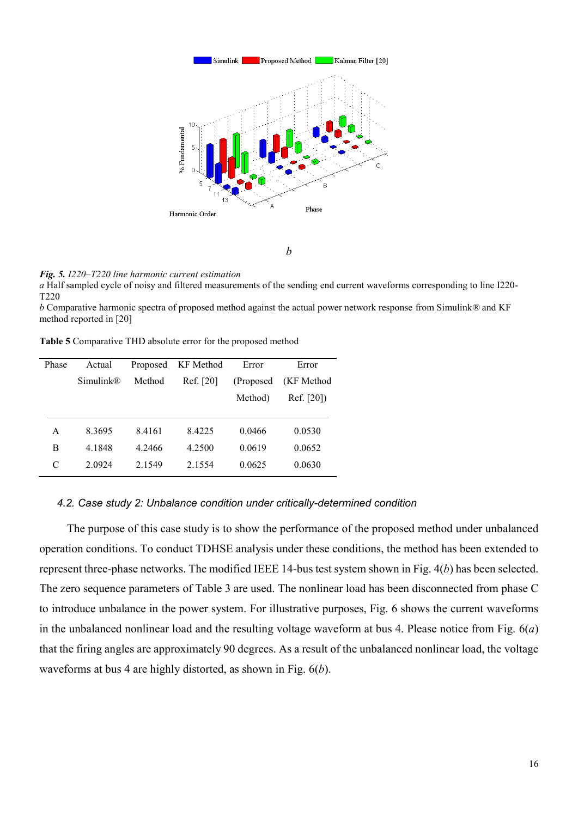

#### *Fig. 5. I220–T220 line harmonic current estimation*

*a* Half sampled cycle of noisy and filtered measurements of the sending end current waveforms corresponding to line I220- T220

*b* Comparative harmonic spectra of proposed method against the actual power network response from Simulink*®* and KF method reported in [20]

**Table 5** Comparative THD absolute error for the proposed method

| Phase | Actual    | Proposed | KF Method | Error      | Error      |
|-------|-----------|----------|-----------|------------|------------|
|       | Simulin k | Method   | Ref. [20] | (Proposed) | (KF Method |
|       |           |          |           | Method)    | Ref. [20]  |
|       |           |          |           |            |            |
| A     | 8.3695    | 8.4161   | 8.4225    | 0.0466     | 0.0530     |
| В     | 4.1848    | 4.2466   | 4.2500    | 0.0619     | 0.0652     |
| C     | 2.0924    | 2.1549   | 2.1554    | 0.0625     | 0.0630     |
|       |           |          |           |            |            |

#### *4.2. Case study 2: Unbalance condition under critically-determined condition*

The purpose of this case study is to show the performance of the proposed method under unbalanced operation conditions. To conduct TDHSE analysis under these conditions, the method has been extended to represent three-phase networks. The modified IEEE 14-bus test system shown in Fig. 4(*b*) has been selected. The zero sequence parameters of Table 3 are used. The nonlinear load has been disconnected from phase C to introduce unbalance in the power system. For illustrative purposes, Fig. 6 shows the current waveforms in the unbalanced nonlinear load and the resulting voltage waveform at bus 4. Please notice from Fig. 6(*a*) that the firing angles are approximately 90 degrees. As a result of the unbalanced nonlinear load, the voltage waveforms at bus 4 are highly distorted, as shown in Fig. 6(*b*).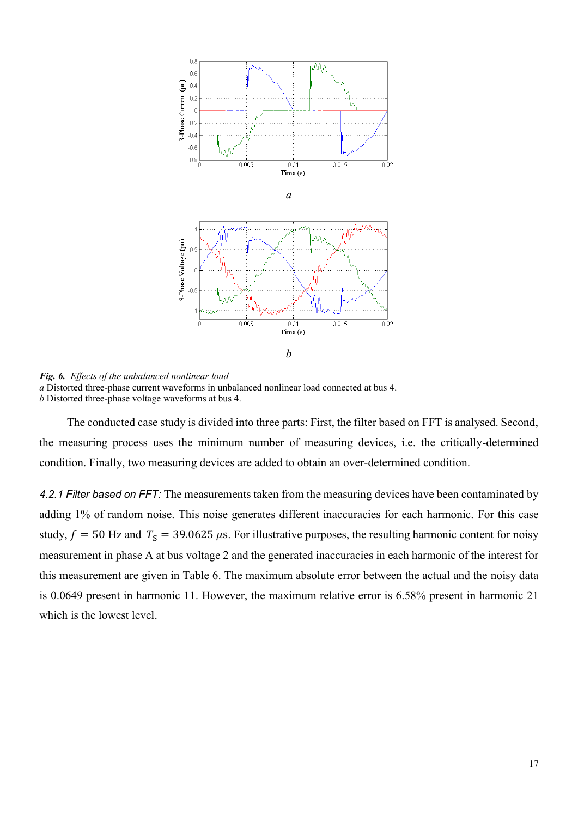

*Fig. 6. Effects of the unbalanced nonlinear load a* Distorted three-phase current waveforms in unbalanced nonlinear load connected at bus 4. *b* Distorted three-phase voltage waveforms at bus 4.

The conducted case study is divided into three parts: First, the filter based on FFT is analysed. Second, the measuring process uses the minimum number of measuring devices, i.e. the critically-determined condition. Finally, two measuring devices are added to obtain an over-determined condition.

*4.2.1 Filter based on FFT:* The measurements taken from the measuring devices have been contaminated by adding 1% of random noise. This noise generates different inaccuracies for each harmonic. For this case study,  $f = 50$  Hz and  $T_s = 39.0625 \mu s$ . For illustrative purposes, the resulting harmonic content for noisy measurement in phase A at bus voltage 2 and the generated inaccuracies in each harmonic of the interest for this measurement are given in Table 6. The maximum absolute error between the actual and the noisy data is 0.0649 present in harmonic 11. However, the maximum relative error is 6.58% present in harmonic 21 which is the lowest level.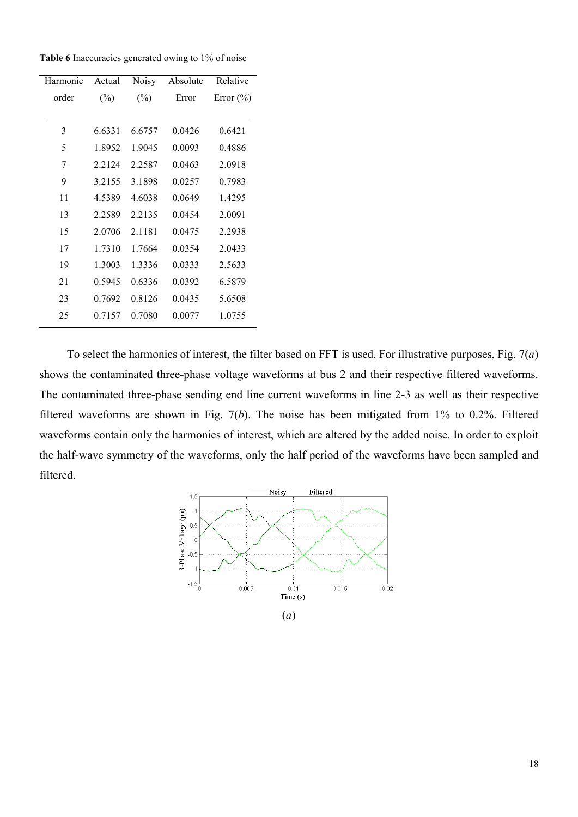**Table 6** Inaccuracies generated owing to 1% of noise

| Harmonic | Actual | Noisy  | Absolute | Relative      |
|----------|--------|--------|----------|---------------|
| order    | $(\%)$ | $(\%)$ | Error    | Error $(\% )$ |
| 3        | 6.6331 | 6.6757 | 0.0426   | 0.6421        |
| 5        | 1.8952 | 1.9045 | 0.0093   | 0.4886        |
| 7        | 2.2124 | 2.2587 | 0.0463   | 2.0918        |
| 9        | 3.2155 | 3.1898 | 0.0257   | 0.7983        |
| 11       | 4.5389 | 4.6038 | 0.0649   | 1.4295        |
| 13       | 2.2589 | 2.2135 | 0.0454   | 2.0091        |
| 15       | 2.0706 | 2.1181 | 0.0475   | 2.2938        |
| 17       | 1.7310 | 1.7664 | 0.0354   | 2.0433        |
| 19       | 1.3003 | 1.3336 | 0.0333   | 2.5633        |
| 21       | 0.5945 | 0.6336 | 0.0392   | 6.5879        |
| 23       | 0.7692 | 0.8126 | 0.0435   | 5.6508        |
| 25       | 0.7157 | 0.7080 | 0.0077   | 1.0755        |

To select the harmonics of interest, the filter based on FFT is used. For illustrative purposes, Fig. 7(*a*) shows the contaminated three-phase voltage waveforms at bus 2 and their respective filtered waveforms. The contaminated three-phase sending end line current waveforms in line 2-3 as well as their respective filtered waveforms are shown in Fig. 7(*b*). The noise has been mitigated from 1% to 0.2%. Filtered waveforms contain only the harmonics of interest, which are altered by the added noise. In order to exploit the half-wave symmetry of the waveforms, only the half period of the waveforms have been sampled and filtered.

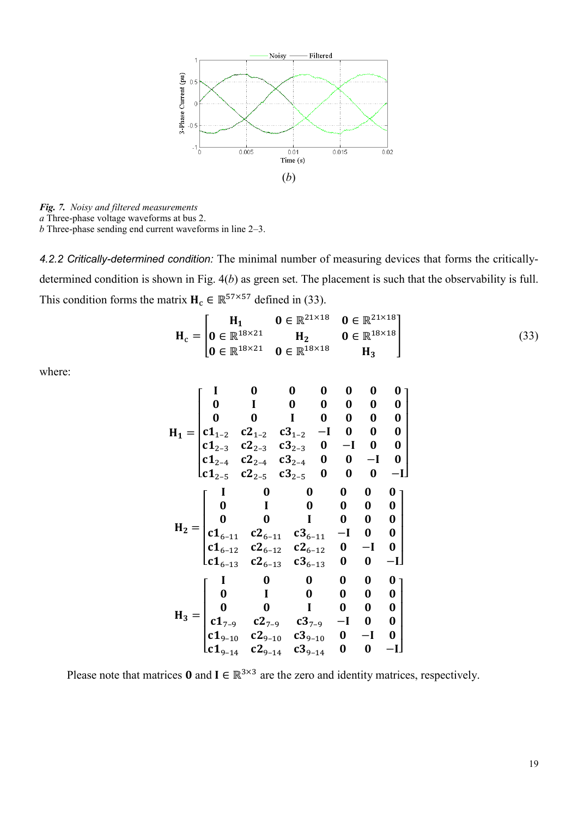

*Fig. 7. Noisy and filtered measurements*

*a* Three-phase voltage waveforms at bus 2.

*b* Three-phase sending end current waveforms in line 2–3.

*4.2.2 Critically-determined condition:* The minimal number of measuring devices that forms the criticallydetermined condition is shown in Fig. 4(*b*) as green set. The placement is such that the observability is full. This condition forms the matrix  $H_c \in \mathbb{R}^{57 \times 57}$  defined in (33).

$$
\mathbf{H}_{c} = \begin{bmatrix} \mathbf{H}_{1} & \mathbf{0} \in \mathbb{R}^{21 \times 18} & \mathbf{0} \in \mathbb{R}^{21 \times 18} \\ \mathbf{0} \in \mathbb{R}^{18 \times 21} & \mathbf{H}_{2} & \mathbf{0} \in \mathbb{R}^{18 \times 18} \\ \mathbf{0} \in \mathbb{R}^{18 \times 21} & \mathbf{0} \in \mathbb{R}^{18 \times 18} & \mathbf{H}_{3} \end{bmatrix}
$$
(33)

where:

 = [ 1–2 1–2 1–2 − 2–3 2–3 2–3 − 2–4 2–4 2–4 − 2–5 2–5 2–5 −] = [ 6–11 6–11 6–11 − 6–12 6–12 6–12 − 6–13 6–13 6–13 −] = [ 7–9 7–9 7–9 − 9–10 9–10 9–10 − 9–14 9–14 9–14 −] 

Please note that matrices 0 and  $I \in \mathbb{R}^{3 \times 3}$  are the zero and identity matrices, respectively.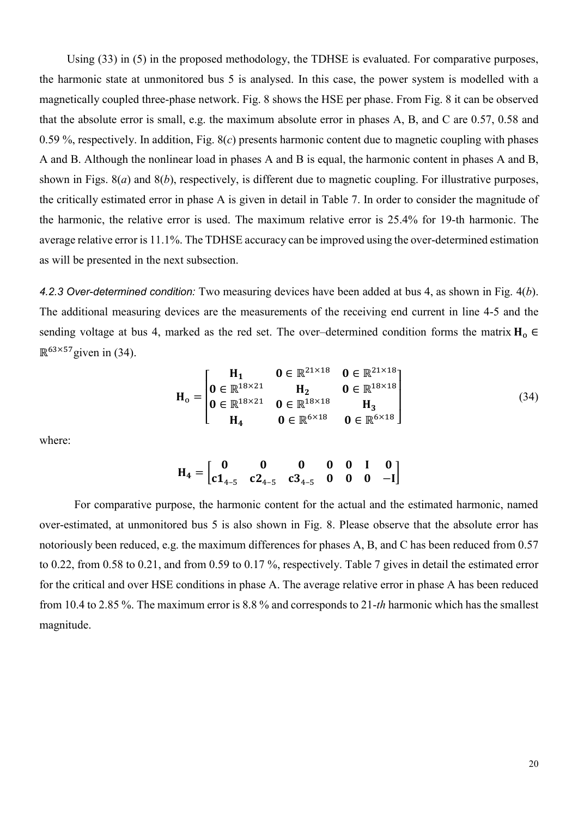Using (33) in (5) in the proposed methodology, the TDHSE is evaluated. For comparative purposes, the harmonic state at unmonitored bus 5 is analysed. In this case, the power system is modelled with a magnetically coupled three-phase network. Fig. 8 shows the HSE per phase. From Fig. 8 it can be observed that the absolute error is small, e.g. the maximum absolute error in phases A, B, and C are 0.57, 0.58 and 0.59 %, respectively. In addition, Fig. 8(*c*) presents harmonic content due to magnetic coupling with phases A and B. Although the nonlinear load in phases A and B is equal, the harmonic content in phases A and B, shown in Figs. 8(*a*) and 8(*b*), respectively, is different due to magnetic coupling. For illustrative purposes, the critically estimated error in phase A is given in detail in Table 7. In order to consider the magnitude of the harmonic, the relative error is used. The maximum relative error is 25.4% for 19-th harmonic. The average relative error is 11.1%. The TDHSE accuracy can be improved using the over-determined estimation as will be presented in the next subsection.

*4.2.3 Over-determined condition:* Two measuring devices have been added at bus 4, as shown in Fig. 4(*b*). The additional measuring devices are the measurements of the receiving end current in line 4-5 and the sending voltage at bus 4, marked as the red set. The over–determined condition forms the matrix  $H_0 \in$  $\mathbb{R}^{63\times57}$ given in (34).

$$
\mathbf{H}_{o} = \begin{bmatrix} \mathbf{H}_{1} & \mathbf{0} \in \mathbb{R}^{21 \times 18} & \mathbf{0} \in \mathbb{R}^{21 \times 18} \\ \mathbf{0} \in \mathbb{R}^{18 \times 21} & \mathbf{H}_{2} & \mathbf{0} \in \mathbb{R}^{18 \times 18} \\ \mathbf{0} \in \mathbb{R}^{18 \times 21} & \mathbf{0} \in \mathbb{R}^{18 \times 18} & \mathbf{H}_{3} \\ \mathbf{H}_{4} & \mathbf{0} \in \mathbb{R}^{6 \times 18} & \mathbf{0} \in \mathbb{R}^{6 \times 18} \end{bmatrix}
$$
(34)

where:

$$
H_4 = \begin{bmatrix} 0 & 0 & 0 & 0 & 0 & 1 & 0 \\ c1_{4-5} & c2_{4-5} & c3_{4-5} & 0 & 0 & 0 & -I \end{bmatrix}
$$

For comparative purpose, the harmonic content for the actual and the estimated harmonic, named over-estimated, at unmonitored bus 5 is also shown in Fig. 8. Please observe that the absolute error has notoriously been reduced, e.g. the maximum differences for phases A, B, and C has been reduced from 0.57 to 0.22, from 0.58 to 0.21, and from 0.59 to 0.17 %, respectively. Table 7 gives in detail the estimated error for the critical and over HSE conditions in phase A. The average relative error in phase A has been reduced from 10.4 to 2.85 %. The maximum error is 8.8 % and corresponds to 21-*th* harmonic which has the smallest magnitude.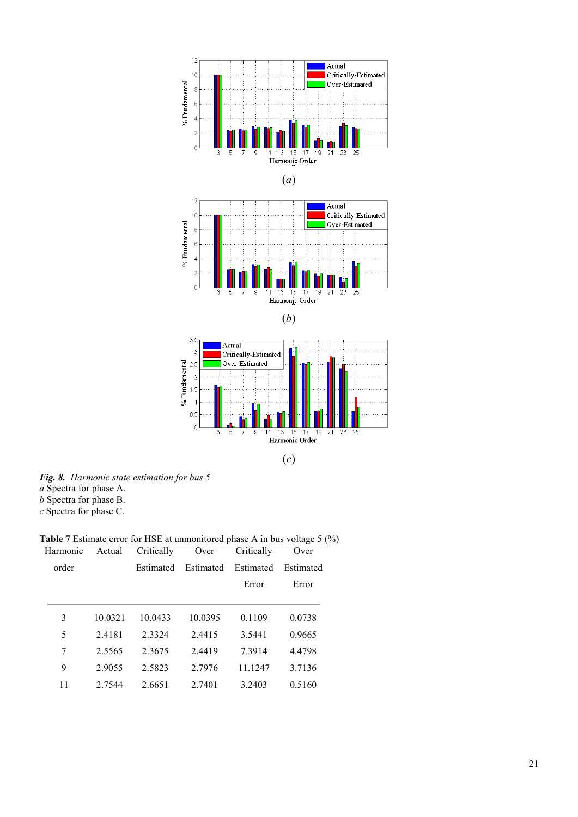

(*c*)

*Fig. 8. Harmonic state estimation for bus 5*

*a* Spectra for phase A.

*b* Spectra for phase B.

*c* Spectra for phase C.

**Table 7** Estimate error for HSE at unmonitored phase A in bus voltage 5 (%)

| Harmonic | Actual  | Critically | Over      | Critically | Over      |
|----------|---------|------------|-----------|------------|-----------|
| order    |         | Estimated  | Estimated | Estimated  | Estimated |
|          |         |            |           | Error      | Error     |
|          |         |            |           |            |           |
| 3        | 10.0321 | 10.0433    | 10.0395   | 0.1109     | 0.0738    |
| 5        | 2.4181  | 2.3324     | 2.4415    | 3.5441     | 0.9665    |
| 7        | 2.5565  | 2.3675     | 2.4419    | 7.3914     | 4.4798    |
| 9        | 2.9055  | 2.5823     | 2.7976    | 11.1247    | 3.7136    |
| 11       | 2.7544  | 2.6651     | 2.7401    | 3.2403     | 0.5160    |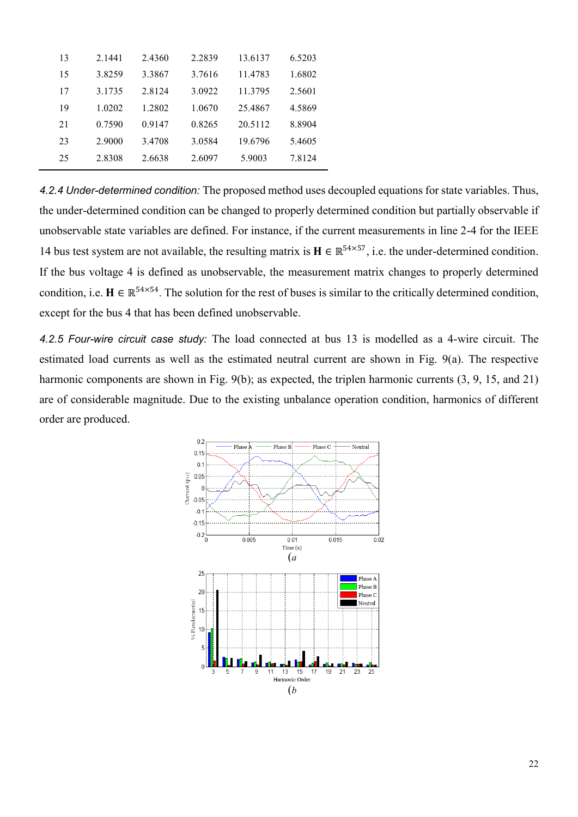| 13 | 2.1441 | 2.4360 | 2.2839 | 13.6137 | 6.5203 |
|----|--------|--------|--------|---------|--------|
| 15 | 3.8259 | 3.3867 | 3.7616 | 11.4783 | 1.6802 |
| 17 | 3.1735 | 2.8124 | 3.0922 | 11.3795 | 2.5601 |
| 19 | 1.0202 | 1.2802 | 1.0670 | 25.4867 | 4.5869 |
| 21 | 0.7590 | 0.9147 | 0.8265 | 20.5112 | 8.8904 |
| 23 | 2.9000 | 3.4708 | 3.0584 | 19.6796 | 5.4605 |
| 25 | 2.8308 | 2.6638 | 2.6097 | 5.9003  | 7.8124 |

*4.2.4 Under-determined condition:* The proposed method uses decoupled equations for state variables. Thus, the under-determined condition can be changed to properly determined condition but partially observable if unobservable state variables are defined. For instance, if the current measurements in line 2-4 for the IEEE 14 bus test system are not available, the resulting matrix is  $\mathbf{H} \in \mathbb{R}^{54 \times 57}$ , i.e. the under-determined condition. If the bus voltage 4 is defined as unobservable, the measurement matrix changes to properly determined condition, i.e.  $H \in \mathbb{R}^{54\times54}$ . The solution for the rest of buses is similar to the critically determined condition, except for the bus 4 that has been defined unobservable.

*4.2.5 Four-wire circuit case study:* The load connected at bus 13 is modelled as a 4-wire circuit. The estimated load currents as well as the estimated neutral current are shown in Fig. 9(a). The respective harmonic components are shown in Fig. 9(b); as expected, the triplen harmonic currents (3, 9, 15, and 21) are of considerable magnitude. Due to the existing unbalance operation condition, harmonics of different order are produced.

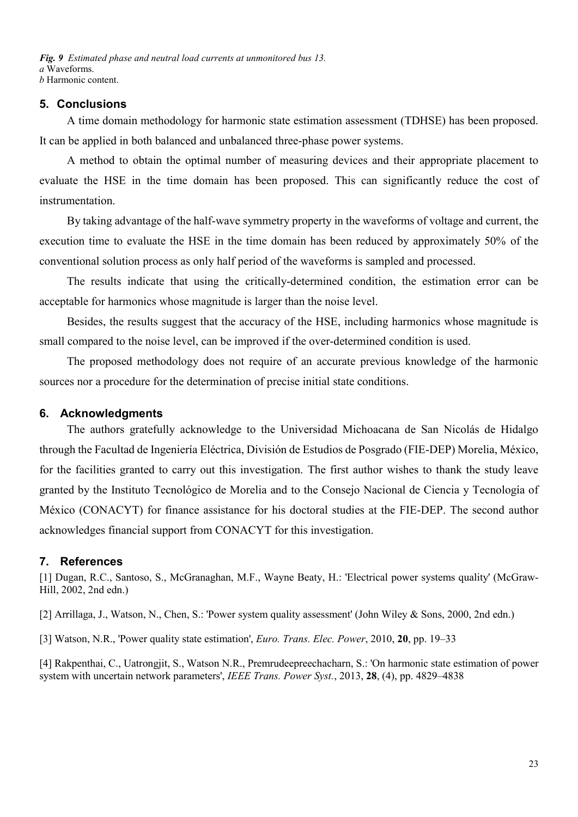*Fig. 9 Estimated phase and neutral load currents at unmonitored bus 13. a* Waveforms. *b* Harmonic content.

## **5. Conclusions**

A time domain methodology for harmonic state estimation assessment (TDHSE) has been proposed. It can be applied in both balanced and unbalanced three-phase power systems.

A method to obtain the optimal number of measuring devices and their appropriate placement to evaluate the HSE in the time domain has been proposed. This can significantly reduce the cost of instrumentation.

By taking advantage of the half-wave symmetry property in the waveforms of voltage and current, the execution time to evaluate the HSE in the time domain has been reduced by approximately 50% of the conventional solution process as only half period of the waveforms is sampled and processed.

The results indicate that using the critically-determined condition, the estimation error can be acceptable for harmonics whose magnitude is larger than the noise level.

Besides, the results suggest that the accuracy of the HSE, including harmonics whose magnitude is small compared to the noise level, can be improved if the over-determined condition is used.

The proposed methodology does not require of an accurate previous knowledge of the harmonic sources nor a procedure for the determination of precise initial state conditions.

## **6. Acknowledgments**

The authors gratefully acknowledge to the Universidad Michoacana de San Nicolás de Hidalgo through the Facultad de Ingeniería Eléctrica, División de Estudios de Posgrado (FIE-DEP) Morelia, México, for the facilities granted to carry out this investigation. The first author wishes to thank the study leave granted by the Instituto Tecnológico de Morelia and to the Consejo Nacional de Ciencia y Tecnología of México (CONACYT) for finance assistance for his doctoral studies at the FIE-DEP. The second author acknowledges financial support from CONACYT for this investigation.

### **7. References**

[1] Dugan, R.C., Santoso, S., McGranaghan, M.F., Wayne Beaty, H.: 'Electrical power systems quality' (McGraw-Hill, 2002, 2nd edn.)

[2] Arrillaga, J., Watson, N., Chen, S.: 'Power system quality assessment' (John Wiley & Sons, 2000, 2nd edn.)

[3] Watson, N.R., 'Power quality state estimation', *Euro. Trans. Elec. Power*, 2010, **20**, pp. 19–33

[4] Rakpenthai, C., Uatrongjit, S., Watson N.R., Premrudeepreechacharn, S.: 'On harmonic state estimation of power system with uncertain network parameters', *IEEE Trans. Power Syst.*, 2013, **28**, (4), pp. 4829–4838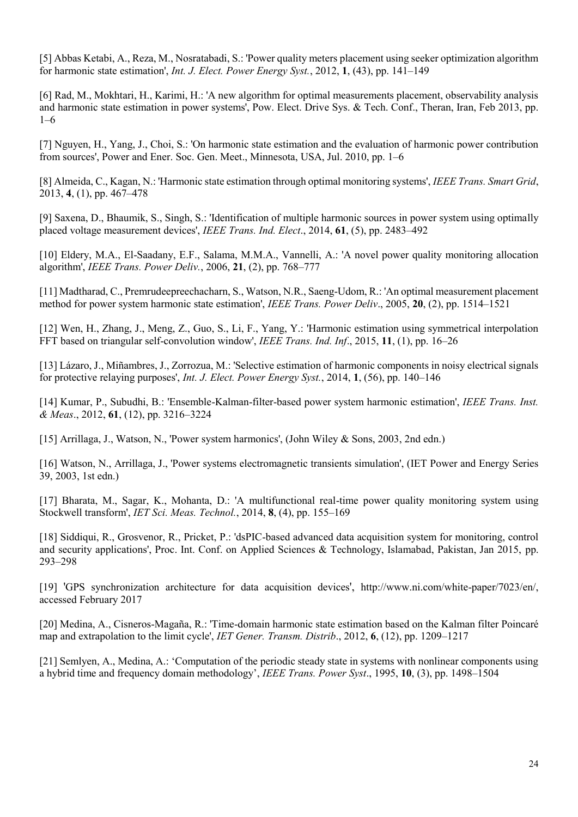[5] Abbas Ketabi, A., Reza, M., Nosratabadi, S.: 'Power quality meters placement using seeker optimization algorithm for harmonic state estimation', *Int. J. Elect. Power Energy Syst.*, 2012, **1**, (43), pp. 141–149

[6] Rad, M., Mokhtari, H., Karimi, H.: 'A new algorithm for optimal measurements placement, observability analysis and harmonic state estimation in power systems', Pow. Elect. Drive Sys. & Tech. Conf., Theran, Iran, Feb 2013, pp. 1–6

[7] Nguyen, H., Yang, J., Choi, S.: 'On harmonic state estimation and the evaluation of harmonic power contribution from sources', Power and Ener. Soc. Gen. Meet., Minnesota, USA, Jul. 2010, pp. 1–6

[8] Almeida, C., Kagan, N.: 'Harmonic state estimation through optimal monitoring systems', *IEEE Trans. Smart Grid*, 2013, **4**, (1), pp. 467–478

[9] Saxena, D., Bhaumik, S., Singh, S.: 'Identification of multiple harmonic sources in power system using optimally placed voltage measurement devices', *IEEE Trans. Ind. Elect*., 2014, **61**, (5), pp. 2483–492

[10] Eldery, M.A., El-Saadany, E.F., Salama, M.M.A., Vannelli, A.: 'A novel power quality monitoring allocation algorithm', *IEEE Trans. Power Deliv.*, 2006, **21**, (2), pp. 768–777

[11] Madtharad, C., Premrudeepreechacharn, S., Watson, N.R., Saeng-Udom, R.: 'An optimal measurement placement method for power system harmonic state estimation', *IEEE Trans. Power Deliv*., 2005, **20**, (2), pp. 1514–1521

[12] Wen, H., Zhang, J., Meng, Z., Guo, S., Li, F., Yang, Y.: 'Harmonic estimation using symmetrical interpolation FFT based on triangular self-convolution window', *IEEE Trans. Ind. Inf*., 2015, **11**, (1), pp. 16–26

[13] Lázaro, J., Miñambres, J., Zorrozua, M.: 'Selective estimation of harmonic components in noisy electrical signals for protective relaying purposes', *Int. J. Elect. Power Energy Syst.*, 2014, **1**, (56), pp. 140–146

[14] Kumar, P., Subudhi, B.: 'Ensemble-Kalman-filter-based power system harmonic estimation', *IEEE Trans. Inst. & Meas*., 2012, **61**, (12), pp. 3216–3224

[15] Arrillaga, J., Watson, N., 'Power system harmonics', (John Wiley & Sons, 2003, 2nd edn.)

[16] Watson, N., Arrillaga, J., 'Power systems electromagnetic transients simulation', (IET Power and Energy Series 39, 2003, 1st edn.)

[17] Bharata, M., Sagar, K., Mohanta, D.: 'A multifunctional real-time power quality monitoring system using Stockwell transform', *IET Sci. Meas. Technol.*, 2014, **8**, (4), pp. 155–169

[18] Siddiqui, R., Grosvenor, R., Pricket, P.: 'dsPIC-based advanced data acquisition system for monitoring, control and security applications', Proc. Int. Conf. on Applied Sciences & Technology, Islamabad, Pakistan, Jan 2015, pp. 293–298

[19] 'GPS synchronization architecture for data acquisition devices', <http://www.ni.com/white-paper/7023/en/>, accessed February 2017

[20] Medina, A., Cisneros-Magaña, R.: 'Time-domain harmonic state estimation based on the Kalman filter Poincaré map and extrapolation to the limit cycle', *IET Gener. Transm. Distrib*., 2012, **6**, (12), pp. 1209–1217

[21] Semlyen, A., Medina, A.: 'Computation of the periodic steady state in systems with nonlinear components using a hybrid time and frequency domain methodology', *IEEE Trans. Power Syst*., 1995, **10**, (3), pp. 1498–1504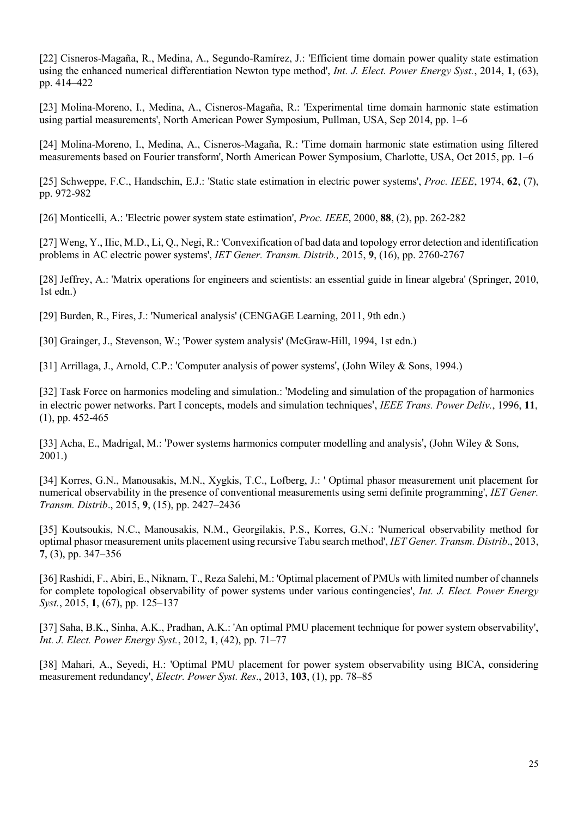[22] Cisneros-Magaña, R., Medina, A., Segundo-Ramírez, J.: 'Efficient time domain power quality state estimation using the enhanced numerical differentiation Newton type method', *Int. J. Elect. Power Energy Syst.*, 2014, **1**, (63), pp. 414–422

[23] Molina-Moreno, I., Medina, A., Cisneros-Magaña, R.: 'Experimental time domain harmonic state estimation using partial measurements', North American Power Symposium, Pullman, USA, Sep 2014, pp. 1–6

[24] Molina-Moreno, I., Medina, A., Cisneros-Magaña, R.: 'Time domain harmonic state estimation using filtered measurements based on Fourier transform', North American Power Symposium, Charlotte, USA, Oct 2015, pp. 1–6

[25] Schweppe, F.C., Handschin, E.J.: 'Static state estimation in electric power systems', *Proc. IEEE*, 1974, **62**, (7), pp. 972-982

[26] Monticelli, A.: 'Electric power system state estimation', *Proc. IEEE*, 2000, **88**, (2), pp. 262-282

[27] Weng, Y., IIic, M.D., Li, Q., Negi, R.: 'Convexification of bad data and topology error detection and identification problems in AC electric power systems', *IET Gener. Transm. Distrib.,* 2015, **9**, (16), pp. 2760-2767

[28] Jeffrey, A.: 'Matrix operations for engineers and scientists: an essential guide in linear algebra' (Springer, 2010, 1st edn.)

[29] Burden, R., Fires, J.: 'Numerical analysis' (CENGAGE Learning, 2011, 9th edn.)

[30] Grainger, J., Stevenson, W.; 'Power system analysis' (McGraw-Hill, 1994, 1st edn.)

[31] Arrillaga, J., Arnold, C.P.: 'Computer analysis of power systems', (John Wiley & Sons, 1994.)

[32] Task Force on harmonics modeling and simulation.: 'Modeling and simulation of the propagation of harmonics in electric power networks. Part I concepts, models and simulation techniques', *IEEE Trans. Power Deliv.*, 1996, **11**, (1), pp. 452-465

[33] Acha, E., Madrigal, M.: 'Power systems harmonics computer modelling and analysis', (John Wiley & Sons, 2001.)

[34] Korres, G.N., Manousakis, M.N., Xygkis, T.C., Lofberg, J.: ' Optimal phasor measurement unit placement for numerical observability in the presence of conventional measurements using semi definite programming', *IET Gener. Transm. Distrib*., 2015, **9**, (15), pp. 2427–2436

[35] Koutsoukis, N.C., Manousakis, N.M., Georgilakis, P.S., Korres, G.N.: 'Numerical observability method for optimal phasor measurement units placement using recursive Tabu search method', *IET Gener. Transm. Distrib*., 2013, **7**, (3), pp. 347–356

[36] Rashidi, F., Abiri, E., Niknam, T., Reza Salehi, M.: 'Optimal placement of PMUs with limited number of channels for complete topological observability of power systems under various contingencies', *Int. J. Elect. Power Energy Syst.*, 2015, **1**, (67), pp. 125–137

[37] Saha, B.K., Sinha, A.K., Pradhan, A.K.: 'An optimal PMU placement technique for power system observability', *Int. J. Elect. Power Energy Syst.*, 2012, **1**, (42), pp. 71–77

[38] Mahari, A., Seyedi, H.: 'Optimal PMU placement for power system observability using BICA, considering measurement redundancy', *Electr. Power Syst. Res*., 2013, **103**, (1), pp. 78–85